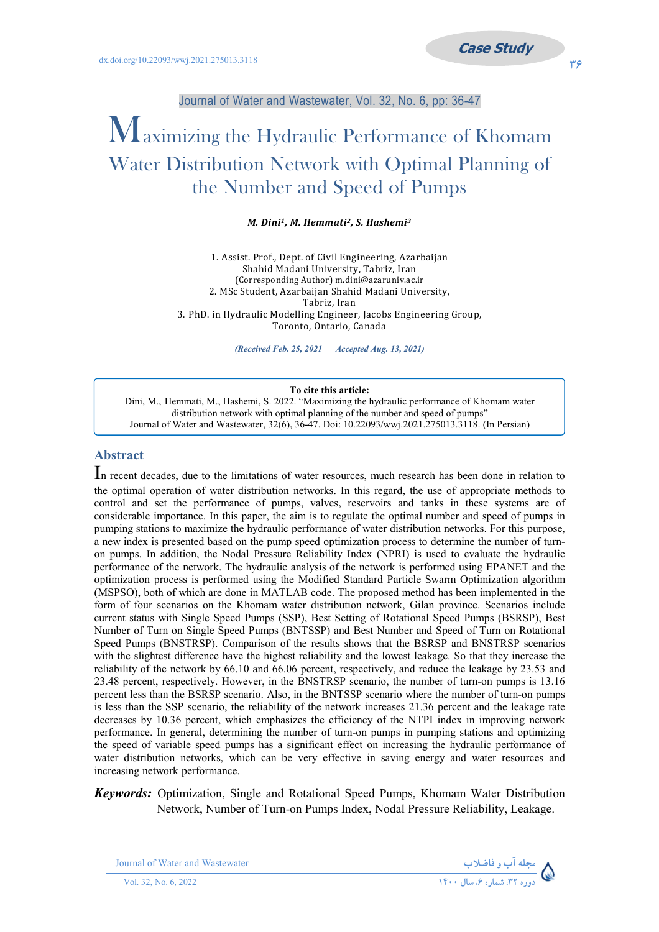Journal of Water and Wastewater, Vol. 32, No. 6, pp: 36-47

# Maximizing the Hydraulic Performance of Khomam Water Distribution Network with Optimal Planning of the Number and Speed of Pumps

*M. Dini1, M. Hemmati2, S. Hashemi3*

1. Assist. Prof., Dept. of Civil Engineering, Azarbaijan Shahid Madani University, Tabriz, Iran (Corresponding Author) m.dini@azaruniv.ac.ir 2. MSc Student, Azarbaijan Shahid Madani University, Tabriz, Iran 3. PhD. in Hydraulic Modelling Engineer, Jacobs Engineering Group, Toronto, Ontario, Canada

*(Received Feb. 25, 2021 Accepted Aug. 13, 2021)*

#### **To cite this article:**

Dini, M., Hemmati, M., Hashemi, S. 2022. "Maximizing the hydraulic performance of Khomam water distribution network with optimal planning of the number and speed of pumps" Journal of Water and Wastewater, 32(6), 36-47. Doi: 10.22093/wwj.2021.275013.3118. (In Persian)

### **Abstract**

In recent decades, due to the limitations of water resources, much research has been done in relation to the optimal operation of water distribution networks. In this regard, the use of appropriate methods to control and set the performance of pumps, valves, reservoirs and tanks in these systems are of considerable importance. In this paper, the aim is to regulate the optimal number and speed of pumps in pumping stations to maximize the hydraulic performance of water distribution networks. For this purpose, a new index is presented based on the pump speed optimization process to determine the number of turnon pumps. In addition, the Nodal Pressure Reliability Index (NPRI) is used to evaluate the hydraulic performance of the network. The hydraulic analysis of the network is performed using EPANET and the optimization process is performed using the Modified Standard Particle Swarm Optimization algorithm (MSPSO), both of which are done in MATLAB code. The proposed method has been implemented in the form of four scenarios on the Khomam water distribution network, Gilan province. Scenarios include current status with Single Speed Pumps (SSP), Best Setting of Rotational Speed Pumps (BSRSP), Best Number of Turn on Single Speed Pumps (BNTSSP) and Best Number and Speed of Turn on Rotational Speed Pumps (BNSTRSP). Comparison of the results shows that the BSRSP and BNSTRSP scenarios with the slightest difference have the highest reliability and the lowest leakage. So that they increase the reliability of the network by 66.10 and 66.06 percent, respectively, and reduce the leakage by 23.53 and 23.48 percent, respectively. However, in the BNSTRSP scenario, the number of turn-on pumps is 13.16 percent less than the BSRSP scenario. Also, in the BNTSSP scenario where the number of turn-on pumps is less than the SSP scenario, the reliability of the network increases 21.36 percent and the leakage rate decreases by 10.36 percent, which emphasizes the efficiency of the NTPI index in improving network performance. In general, determining the number of turn-on pumps in pumping stations and optimizing the speed of variable speed pumps has a significant effect on increasing the hydraulic performance of water distribution networks, which can be very effective in saving energy and water resources and increasing network performance.

#### *Keywords:* Optimization, Single and Rotational Speed Pumps, Khomam Water Distribution Network, Number of Turn-on Pumps Index, Nodal Pressure Reliability, Leakage.

Journal of Water and Wastewater **-**

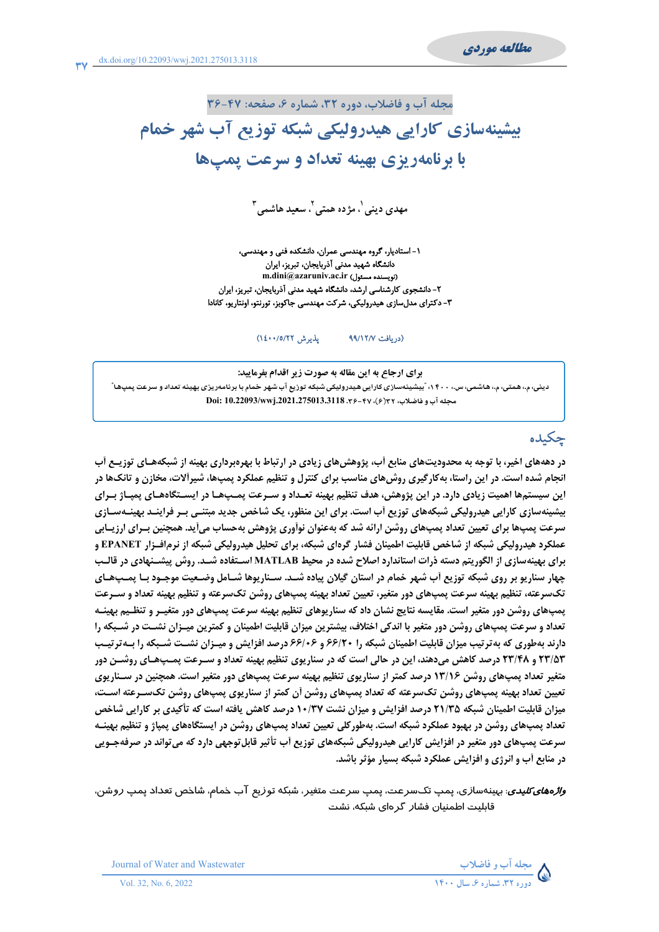مجله آب و فاضلاب، دوره ۳۲، شماره ۶، صفحه: ۴۷-۳۶

# بیشینهسازی کارایی هیدرولیکی شبکه توزیع آب شهر خمام با برنامهریزی بهینه تعداد و سرعت پمپها

مهدی دینی'، مژ ده همتی'، سعید هاشمی آ

١- استادیار، گروه مهندسی عمران، دانشکده فنی و مهندسی، دانشگاه شهید مدنی آذربایجان، تبریز، ایران m.dini@azaruniv.ac.ir (نویسنده مسئول) ۲– دانشجوی کارشناسی ارشد، دانشگاه شهید مدنی آذربایجان، تبریز، ایران ۳- دکترای مدلسازی هیدرولیکی، شرکت مهندسی جاکوبز، تورنتو، اونتاریو، کانادا

> يذيرش ١٤٠٠/٥/٢٢) (دريافت ٩٩/١٢/٧

برای ارجاع به این مقاله به صورت زیر اقدام بفرمایید: دینی، م.، همتی، م.، هاشمی، س.، ۱۴۰۰، ؒبیشینهسازی کارایی هیدرولیکی شبکه توزیع آب شهر خمام با برنامهریزی بهینه تعداد و سرعت پمپها ؒ Doi: 10.22093/wwj.2021.275013.3118 .۳۶-۴۷ (۶)۳۲ poi: 10.22093

# چکىدە

در دهههای اخیر، با توجه به محدودیتهای منابع آب، پژوهش های زیادی در ارتباط با بهروبرداری بهینه از شبکههـای توزیــع آب انجام شده است. در این راستا، به کارگیری روش های مناسب برای کنترل و تنظیم عملکرد یمی ها، شیرآلات، مخازن و تانک ها در این سیستمها اهمیت زیادی دارد. در این پژوهش، هدف تنظیم بهینه تعـداد و سـرعت پمـپهـا در ایسـتگاههـای پمپـاژ بـرای بیشینهسازی کارایی هیدرولیکی شبکههای توزیع آب است. برای این منظور، یک شاخص جدید مبتنـی بـر فراینـد بهینـهسـازی سرعت پمپھا برای تعیین تعداد پمپھای روشن ارائه شد که بهعنوان نوآوری پژوهش بهحساب میأید. همچنین بـرای ارزیـابی عملکرد هیدرولیکی شبکه از شاخص قابلیت اطمینان فشار گردای شبکه، برای تحلیل هیدرولیکی شبکه از نرم|فــزار EPANET و برای بهینهسازی از الگوریتم دسته ذرات استاندارد اصلاح شده در محیط MATLAB اسـتفاده شـد. روش پیشـنهادی در قالـب چهار سناریو بر روی شبکه توزیع آب شهر خمام در استان گیلان پیاده شـد. سـناریوها شـامل وضـعیت موجـود بـا یمـیـهـای تکسرعته، تنظیم بهینه سرعت پمپهای دور متغیر، تعیین تعداد بهینه پمپهای روشن تکسرعته و تنظیم بهینه تعداد و سـرعت پمپھای روشن دور متغیر است. مقایسه نتایج نشان داد که سناریوهای تنظیم بهینه سرعت پمپھای دور متغیـر و تنظـیم بهینـه تعداد و سرعت یمپهای روشن دور متغیر با اندکی اختلاف، بیشترین میزان قابلیت اطمینان و کمترین میـزان نشـت در شـبکه را دارند بهطوری که به ترتیب میزان قابلیت اطمینان شبکه را ۶۶/۲۰ و ۶۶/۰۶ درصد افزایش و میـزان نشـت شـبکه را بـه ترتیـب **۲۳/۵۳ و ۲۳/۴۸ درصد کاهش میدهند، این در حالی است که در سناریوی تنظیم بهینه تعداد و سـرعت پمـپهـای روشـن دور** متغیر تعداد پمپهای روشن ۱۳/۱۶ درصد کمتر از سناریوی تنظیم بهینه سرعت پمپهای دور متغیر است. همچنین در سـناریوی تعيين تعداد بهينه پمپھاي روشن تکسرعته که تعداد پمپھاي روشن أن کمتر از سناريوي پمپھاي روشن تکســرعته اســت، میزان قابلیت اطمینان شبکه ۲۱/۳۵ درصد افزایش و میزان نشت ۱۰/۳۷ درصد کاهش یافته است که تأکیدی بر کارایی شاخص تعداد پمپ،های روشن در بهبود عملکرد شبکه است. بهطورکلی تعیین تعداد پمپ،ای روشن در ایستگاههای پمپاژ و تنظیم بهینـه سرعت پمپهای دور متغیر در افزایش کارایی هیدرولیکی شبکههای توزیع آب تأثیر قابلتوجهی دارد که میتواند در صرفهجـویی در منابع أب و انرژی و افزایش عملکرد شبکه بسیار مؤثر باشد.

*واڑەھا<i>ی کلیدی*: بہینەسا*زی*، پمپ تک سرعت، پمپ سرعت متغیر، شبکه توزیع آب خمام، شاخص تعداد پمپ *ز*وشن، قابلیت اطمنیان فشار گر های شبکه، نشت



Journal of Water and Wastewater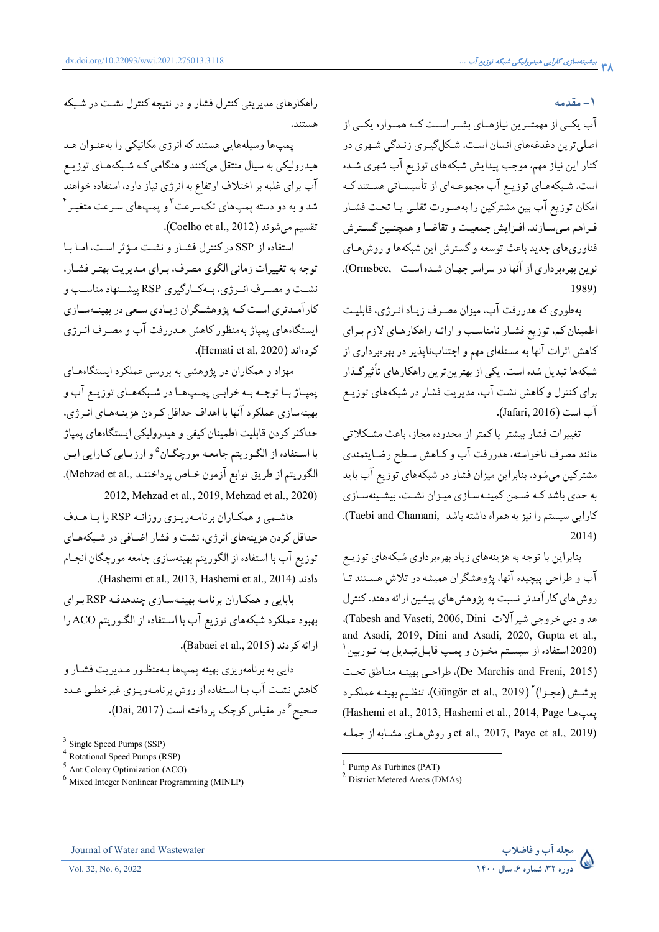### **1 - مقدمه**

اب یکــی از مهمتــرین نیازهــای بشــر اســت کــه همــواره یکــی از اصلی ترین دغدغههای انسان است. شـکلگیــری زنـدگی شـهری در کنار این نیاز مهم، موجب پیدایش شبکههای توزیع اب شهری شـده ست. شـبکههـاي توزيـع اب مجموعـهاي از تاسيسـاتي هسـتند کـه  $\overline{\phantom{a}}$ امکان توزیع اب بین مشترکین را بهصـورت ثقلـی یـا تحـت فشـار فـراهم مـىسـازند. افـزايش جمعيـت و تقاضـا و همچنـين گسـترش فناوریهای جدید باعث توسعه و گسترش این شبکهها و روش،حای نوین بهرهبرداری از انها در سراسر جهـان شـده اسـت ,Ormsbee). .1989)

هطوری که هدررفت اب، میزان مصـرف زیـاد انـرژی، قابلیـت  $\ddot{\cdot}$ اطمینان کم، توزیع فشـار نامناسـب و ارائـه راهکارهـای لازم بـرای کاهش اثرات انها به مسئلهای مهم و اجتنابناپذیر در بهرهبرداری از شبکهها تبدیل شده است. یکی از بهترین ترین راهکارهای تاثیرگـذار برای کنترل و کاهش نشت اب، مدیریت فشار در شبکههای توزیـع آب است (Jafari, 2016).

تغییرات فشار بیشتر یاکمتر از محدوده مجاز، باعث مشکلاتی مانند مصرف ناخواسته، هدررفت اب و کـاهش سـطح رضـايتمندي مشترکین میشود. بنابراین میزان فشار در شبکههای توزیع اب باید ه حدی باشد کـه ضـمن کمینـهسـازی میـزان نشـت، بیشـینهسـازی ļ کارایی سیستم را نیز به همراه داشته باشد ,Taebi and Chamani). .2014)

بنابراین با توجه به هزینههای زیاد بهرهبرداری شبکههای توزیـع اب و طراحی پیچیده انها، پژوهشگران همیشه در تلاش هسـتند تـا روش های کار امدتر نسبت به پژوهش های پیشین ارائه دهند. کنترل هدو دبی خروجی شیر آلات Tabesh and Vaseti, 2006, Dini). and Asadi, 2019, Dini and Asadi, 2020, Gupta et al., (2020 استفاده از سیسـتم مخـزن و پمـپ قابـلتبـدیل بـه تـوربین ` (De Marchis and Freni, 2015)، طراحـي بهينــه منــاطق تحــت پوشــش (مجـزا)<sup>۲</sup> (Güngör et al., 2019)، تنظـيم بهينــه عملكـرد (Hashemi et al., 2013, Hashemi et al., 2014, Page et al., 2017, Paye et al., 2019) و روشهـای مشـابه از جملـه



پمپها وسیلههایی هستند که انرژی مکانیکی را بهعنـوان هـد هیدرولیکی به سیال منتقل میکنند و هنگامی کـه شـبکههـای توزیـع اب برای غلبه بر اختلاف ارتفاع به انرژی نیاز دارد. استفاده خواهند شد و به دو دسته پمپهای تکسرعت <sup>۳</sup> و پمپهای سـرعت متغیــر <sup>۴</sup> تقسيم ميشوند (Coelho et al., 2012).

ستفاده از SSP در کنترل فشــار و نشــت مـؤثر اسـت، امـا بــا  $\overline{\phantom{a}}$ توجه به تغییرات زمانی الگوی مصرف، بـرای مـدیریت بهتـر فشـار، نشــت و مصــرف انــرژي، بــهكــارگيري RSP پيشــنهاد مناســب و کار امـدتري اسـت کــه پژوهشــگران زيــادي ســعي در بهينــهســازي ایستگاههای پمپاژ بهمنظور کاهش هـدررفت اب و مصـرف انـرژی .(Hemati et al, 2020) كردهاند

مهزاد و همکاران در پژوهشی به بررسی عملکرد ایستگاههـای پمپـاژ بـا توجــه بــه خرابــي پمــپـهــا در شــبكههـاي توزيــع اب و بهینهسازی عملکرد انها با اهداف حداقل کـردن هزینـههـای انـرژی، حداکثر کردن قابلیت اطمینان کیفی و هیدرولیکی ایستگاههای پمپاژ با اسـتفاده از الگـوريتم جامعـه مورچگـان<sup>۵</sup>و ارزيـابي كـارايي ايـن الكوريتم از طريق توابع آزمون خـاص پرداختنـد ..Mehzad et al). .2012, Mehzad et al., 2019, Mehzad et al., 2020)

هاشـمي و همكـاران برنامـهريــزي روزانــه RSP را بــا هــدف حداقل کردن هزینههای انرژی، نشت و فشار اضـافی در شـبکههـای توزیع اب با استفاده از الگوریتم بهینهسازی جامعه مورچگان انجـام ..(Hashemi et al., 2013, Hashemi et al., 2014) &344

بابایی و همکـاران برنامـه بهینـهسـازی چندهدفـه RSPبـرای بهبود عملکرد شبکههای توزیع آب با اسـتفاده از الگـوریتم ACO را ارائه کردند (Babaei et al., 2015).

دایی به برنامهریزی بهینه پمپها بـهمنظـور مـدیریت فشـار و کاهش نشـت اب بـا اسـتفاده از روش برنامـهريـزي غيرخطـي عـدد صحیح ٔ در مقیاس کوچک پرداخته است (Dai, 2017).





 $<sup>1</sup>$  Pump As Turbines (PAT)</sup>

<sup>2</sup> District Metered Areas (DMAs)

Single Speed Pumps (SSP)

<sup>4</sup> Rotational Speed Pumps (RSP)

<sup>5</sup> Ant Colony Optimization (ACO)

<sup>6</sup> Mixed Integer Nonlinear Programming (MINLP)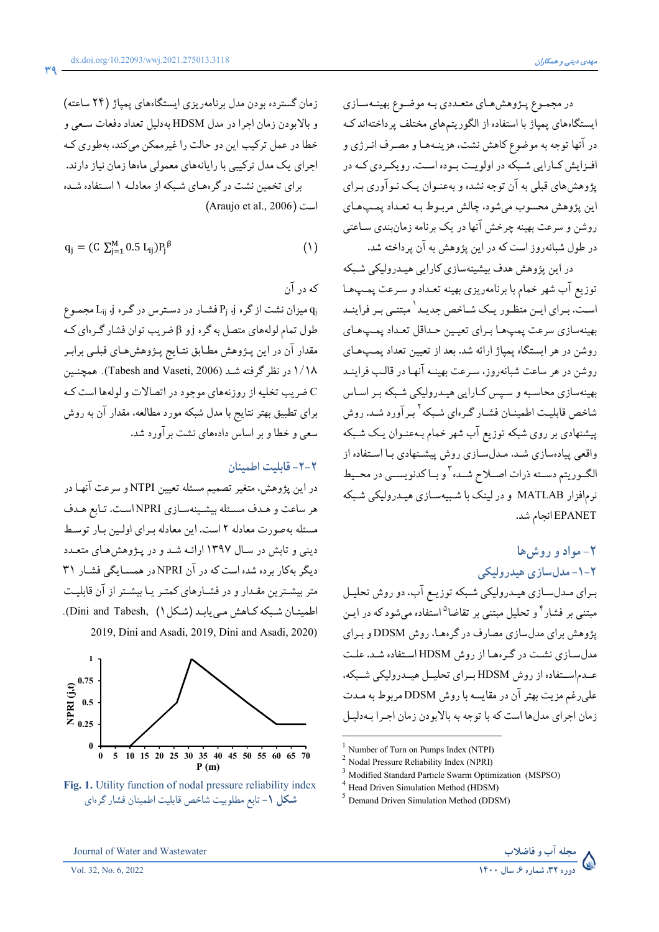در مجموع پـژوهش،اي متعـددي بـه موضـوِع بهينـهسـازي ایستگاههای پمپاژ با استفاده از الگوریتمهای مختلف پرداختهاند ک در آنها توجه به موضوع كاهش نشت، هزينـههـا و مصـرف انـرژي و افزایش کبارایی شبکه در اولویت بوده است. رویکردی کـه در پژوهش های قبلی به آن توجه نشده و بهعنـوان یـک نـوآوری بـرای اين پژوهش محسوب ميشود، چالش مربـوط بـه تعـداد پمـپـهـاي روشن و سرعت بهینه چرخش آنها در یک برنامه زمانبندی سـاعتبی در طول شبانهروز است که در این پژوهش به آن پرداخته شد.

در این پژوهش هدف بیشینهسازی کارایی هیـدرولیکی شـبکه توزیع آب شهر خمام با برنامهریزی بهینه تعداد و سرعت پمپها است. بـرای ایـن منظـور یـک شـاخص جدیـد` مبتنـی بـر فراینـد بهينهسازي سرعت پمپها براي تعيين حداقل تعداد پمپهاي روشن در هر ایستگاه یمیاژ ارائه شد. بعد از تعیین تعداد یمپهای روشن در هر ساعت شبانه روز، سـرعت بهينـه آنهـا در قالـب فراينـد بهینهسازی محاسبه و سپس کـارایی هیـدرولیکی شـبکه بـر اسـاس شاخص قابليت اطمينــان فشــار گــرهاي شــبكه<sup>٢</sup>بـرآورد شــد. روش پیشنهادی بر روی شبکه توزیع آب شهر خمام بـهعنـوان یـک شـبکه واقعی پیادهسازی شـد. مـدلسـازی روش پیشـنهادی بـا اسـتفاده از الگـوريتم دســته ذرات اصــلاح شــده ّ و بــا كدنويســي در محــيط نرمافزار MATLAB و در لینک با شـبیهسـازی هیـدرولیکی شـبکه EPANET انجام شد.

# ٢- مواد و روشها ٢-١- مدلسازي هيدروليكي

مجله آب و فاضلاب<br>دوره ۳۲ شماره ۶ سال ۱۴۰۰

بـراي مـدلسـازي هيـدروليكي شـبكه توزيـع آب، دو روش تحليـل مبتنی بر فشار<sup>۴</sup> و تحلیل مبتنی بر تقاضا<sup>۵</sup>استفاده میشود که در ایـن یژوهش برای مدلسازی مصارف در گرهها، روش DDSM و بیرای مدل سازی نشت در گرهها از روش HDSM استفاده شد. علت عـدم|سـتفاده از روش HDSM بـراي تحليـل هيـدروليكي شـبكه، علمي رغم مزيت بهتر آن در مقايسه با روش DDSM مربوط به مـدت زمان اجرای مدلها است که با توجه به بالابودن زمان اجرا بهدلیل

Number of Turn on Pumps Index (NTPI)



Vol. 32, No. 6, 2022

زمان گسترده بودن مدل برنامهريزي ايستگاههاي پمپاژ (٢۴ ساعته) و بالابودن زمان اجرا در مدل HDSM بهدلیل تعداد دفعات سـعي و خطا در عمل ترکیب این دو حالت را غیرممکن میکند، بهطوری کـه اجرای یک مدل ترکیبی با رایانههای معمولی ماهها زمان نیاز دارند. برای تخمین نشت در گرههای شبکه از معادلـه ۱ استفاده شـده (Araujo et al., 2006) است

$$
q_{j} = (C \sum_{j=1}^{M} 0.5 L_{ij}) P_{j}^{\beta}
$$
 (1)

که در آن

و میزان نشت از گره j و Pj فشار در دسترس در گره j و L<sub>ij</sub> میزان نشت از کره j میزان طول تمام لولههای متصل به گره j و β ضریب توان فشار گـرهای کـه مقدار آن در این پـژوهش مطـابق نتـایج پـژوهشهـای قبلـی برابـر ۱/۱۸ در نظر گرفته شـد (Tabesh and Vaseti, 2006). همچنـین ضریب تخلیه از روزنههای موجود در اتصالات و لولهها است ک برای تطبیق بهتر نتایج با مدل شبکه مورد مطالعه. مقدار آن به روش سعی و خطا و بر اساس دادههای نشت برآورد شد.

### ٢-٢- قابليت اطمينان

در این پژوهش، متغیر تصمیم مسئله تعیین NTPI و سرعت آنهـا در هر ساعت و هـدف مسـئله بيشـينهسـازي NPRI اسـت. تـابع هـدف مسئله بهصورت معادله ٢ است. اين معادله براي اولين بار توسط دینی و تابش در سال ۱۳۹۷ ارائه شد و در پژوهش های متعدد دیگر بهکار برده شده است که در آن NPRI در همسـایگی فشـار ۳۱ متر بیشـترین مقـدار و در فشـارهای کمتـر یـا بیشـتر از آن قابلیـت اطمينان شبكه كاهش مي يابد (شكل ١) ,Dini and Tabesh).

2019, Dini and Asadi, 2019, Dini and Asadi, 2020)



شکل ۱- تابع مطلوبیت شاخص قابلیت اطمینان فشار گرهای

Nodal Pressure Reliability Index (NPRI)

Modified Standard Particle Swarm Optimization (MSPSO)

Head Driven Simulation Method (HDSM)

 $<sup>5</sup>$  Demand Driven Simulation Method (DDSM)</sup>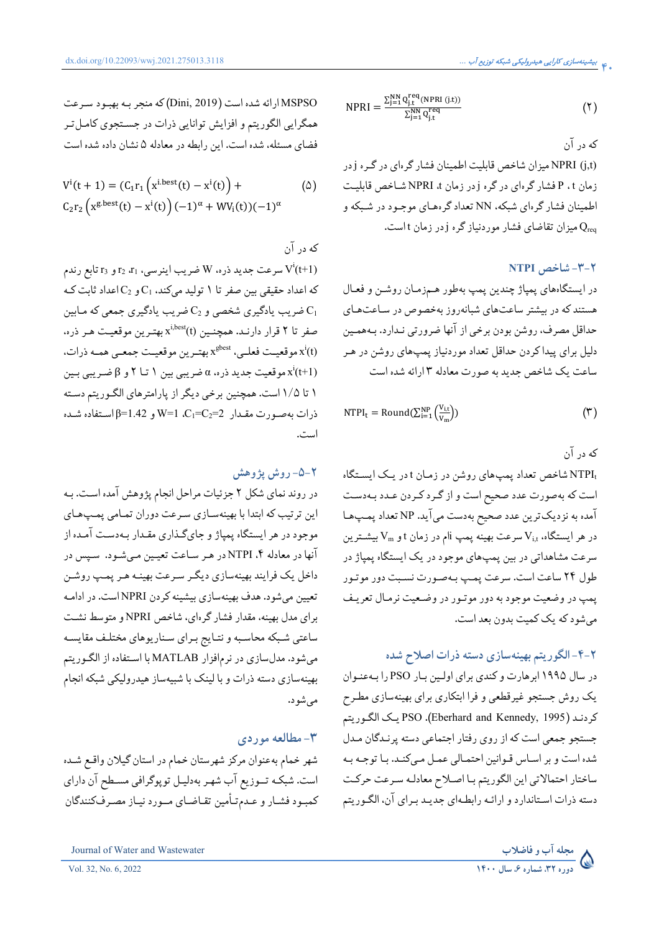$$
NPRI = \frac{\sum_{j=1}^{NN} Q_{j,t}^{req}(NPRI(j.t))}{\sum_{j=1}^{NN} Q_{j,t}^{req}} \tag{1}
$$

که در آن

NPRI (j,t) میزان شاخص قابلیت اطمینان فشار گرهای در گره j در زمان P ، t فشار گرهای در گره j در زمان hPRI شاخص قابلیت اطمینان فشار گرهای شبکه، NN تعداد گرههـای موجـود در شـبکه و Oreq میزان تقاضای فشار موردنیاز گره j در زمان t است.

## **NTPI** شاخص NTPI

در ايستگاههاي پمپاژ چندين پمپ بهطور هـمزمـان روشـن و فعـال هستند که در بیشتر ساعتهای شبانهروز بهخصوص در ساعتهای حداقل مصرف، روشن بودن برخي از آنها ضرورتي نـدارد. بـههمـين دلیل برای پیداکردن حداقل تعداد موردنیاز پمپهای روشن در هـر ساعت یک شاخص جدید به صورت معادله ۳ ارائه شده است

$$
NTPI_t = Round(\sum_{i=1}^{NP} \left( \frac{V_{i,t}}{V_m} \right))
$$
 (7)

که در آن

NTPI شاخص تعداد پمپهای روشن در زمان t در یک ایستگاه است که بهصورت عدد صحیح است و از گـرد کـردن عـدد بـهدسـت آمده به نزدیک ترین عدد صحیح بهدست میآید. NP تعداد پمپها در هر ایستگاه،  $\rm V_{i,t}$  سرعت بهینه پمپ  $\rm i$ ام در زمان t و  $\rm V_{m}$  بیشــترین سرعت مشاهداتی در بین پمپهای موجود در یک ایستگاه پمپاژ در طول ۲۴ ساعت است. سرعت پمپ بهصورت نسبت دور موتـور پمپ در وضعیت موجود به دور موتـور در وضـعیت نرمـال تعریـف میشود که یک کمیت بدون بعد است.

## ۲-۴-الگوریتم بهینهسازی دسته ذرات اصلاح شده

در سال ۱۹۹۵ ابرهارت و کندی برای اولین بار PSO را به عنوان یک روش جستجو غیرقطعی و فرا ابتکاری برای بهینهسازی مطـرح كردنـد (PSO .(Eberhard and Kennedy, 1995). PSO يـك الگـوريتم جستجو جمعي است كه از روى رفتار اجتماعي دسته پرنـدگان مـدل شده است و بر اساس قـوانين احتمـالي عمـل مـيكنـد. بـا توجـه بـه ساختار احتمالاتي اين الكوريتم با اصلاح معادله سرعت حركت دسته ذرات اسـتاندارد و ارائـه رابطـهاي جديـد بـراي آن، الگـوريتم

Journal of Water and Wastewater

$$
V^{i}(t + 1) = (C_{1}r_{1} (x^{i,best}(t) - x^{i}(t)) + C_{2}r_{2} (x^{g,best}(t) - x^{i}(t)) (-1)^{\alpha} + WV_{i}(t)) (-1)^{\alpha}
$$
 (2)

که در آن

سرعت جدید ذره، W ضریب اینرسی، 11 و 13 تابع رندم V $^{\rm i}$ (t+1) که اعداد حقیقی بین صفر تا ۱ تولید میکند، C1 و C2 اعداد ثابت ک ضریب یادگیری شخصی و  $C_2$  ضریب یادگیری جمعی که مـابین  $C_1$ صفر تا ۲ قرار دارنـد. همچنـین (x<sup>i,best</sup>(t بهتـرین موقعیـت هـر ذره. بهترين موقعيمت فعلمي، \*x $^{\text{gbest}}$  بهترين موقعيـت جمعـي همـه ذرات. موقعیت جدید ذره، a ضریبی بین ١ تــا ٢ و 8 ضـریبی بـین  $\mathbf{x}^i$ ۱ تا ۱/۵ است. همچنین برخی دیگر از پارامترهای الگوریتم دسته  $\sim$ ذرات بهصورت مقدار  $\rm C_1=C_2=2$ ،  $\rm W=1$  و 1.42 $\rm P=3$  استفاده شده است.

### ۲-۵- روش پژوهش

در روند نمای شکل ۲ جزئیات مراحل انجام پژوهش آمده است. بـه این ترتیب که ابتدا با بهینهسازی سرعت دوران تمامی پمپهای موجود در هر ایستگاه پمپاژ و جایگذاری مقـدار بـهدسـت آمـده از آنها در معادله ۴. NTPI در هـر سـاعت تعيـين مـيشـود. سـپس در داخل یک فرایند بهینهسازی دیگر سرعت بهینـه هـر پمـپ روشـن تعیین میشود. هدف بهینهسازی بیشینه کردن NPRI است. در ادامـه برای مدل بهینه، مقدار فشار گرهای، شاخص NPRI و متوسط نشت ساعتی شبکه محاسبه و نتـایج بـرای سـناریوهای مختلـف مقایسـه میشود. مدلسازی در نرمافزار MATLAB با استفاده از الگوریتم بهینهسازی دسته ذرات و با لینک با شبیهساز هیدرولیکی شبکه انجام مے شو د.

### ۳- مطالعه موردی

شهر خمام بهعنوان مركز شهرستان خمام در استان گيلان واقع شـده است. شبکـه تــوزیع آب شهـر بهدلیـل توپوگرافي مسـطح آن داراي كمبود فشار و عـدمتأمين تقـاضـاي مــورد نيـاز مصـرفكنندگان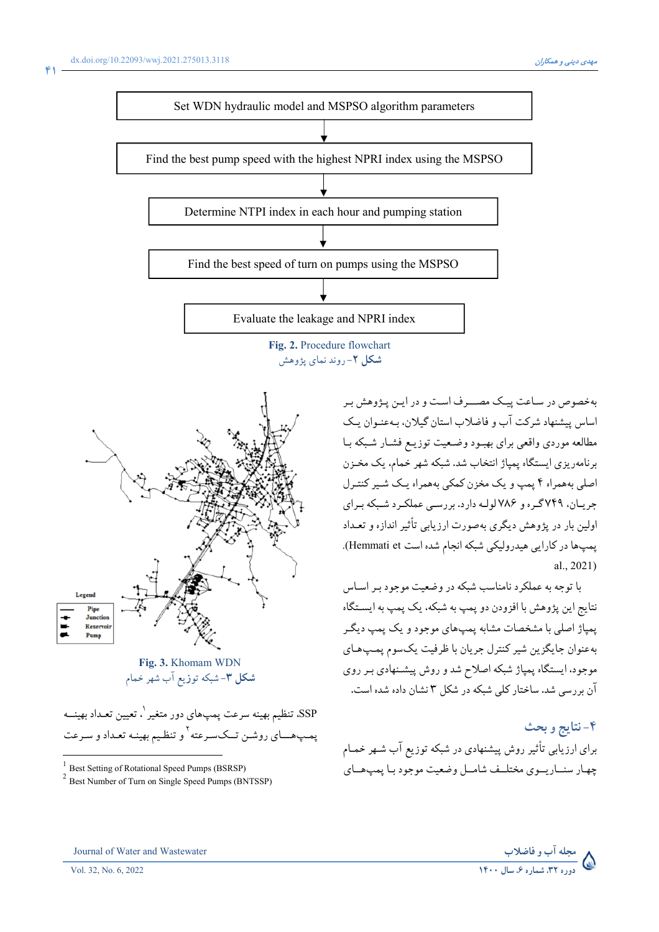

بهخصوص در ساعت پیک مصـــرف است و در ایــن پـڅوهش بـ اساس پیشنهاد شرکت آب و فاضلاب استان گیلان، بـهعنـوان یـک مطالعه موردي واقعى براي بهبود وضعيت توزيـع فشـار شـبكه بـا برنامهریزی ایستگاه پمپاژ انتخاب شد. شبکه شهر خمام، یک مخـزن اصلي بههمراه ۴ يمپ و يک مخزن کمکي بههمراه يـک شـير کنتـرل جریان، ۷۴۹گره و ۷۸۶لولـه دارد. بررسـی عملکـرد شـبکه بـرای اولین بار در پژوهش دیگری بهصورت ارزیابی تأثیر اندازه و تعـداد پمپها در کارایی هیدرولیکی شبکه انجام شده است Hemmati et).  $al. 2021$ 

با توجه به عملکرد نامناسب شبکه در وضعیت موجود بـر اسـاس نتايج اين پژوهش با افزودن دو پمپ به شبكه، يك پمپ به ايسـتگاه پمپاژ اصلي با مشخصات مشابه پمپ،اي موجود و يک پمپ ديگـر بهعنوان جايگزين شير كنترل جريان با ظرفيت يكسوم پمپھاي موجود. ایستگاه پمپاژ شبکه اصلاح شد و روش پیشـنهادی بـر روی آن بررسی شد. ساختار کلی شبکه در شکل ۳ نشان داده شده است.

# ۴-نتايج وبحث برای ارزیابی تأثیر روش پیشنهادی در شبکه توزیع آب شـهر خمـام چهار سنساريسوي مختلسف شامسل وضعيت موجود ببا پمپ،هساي



Fig. 3. Khomam WDN **شکل ۳**–شبکه توزیع آب شهر خمام

SSP، تنظیم بهینه سرعت پمپهای دور متغیر <sup>۱</sup>. تعیین تعـداد بهینـــه يمپ هــاي روشـن تــكسـرعته <sup>٢</sup>و تنظـيم بهينـه تعـداد و سـرعت

<sup>1</sup> Best Setting of Rotational Speed Pumps (BSRSP)



<sup>&</sup>lt;sup>2</sup> Best Number of Turn on Single Speed Pumps (BNTSSP)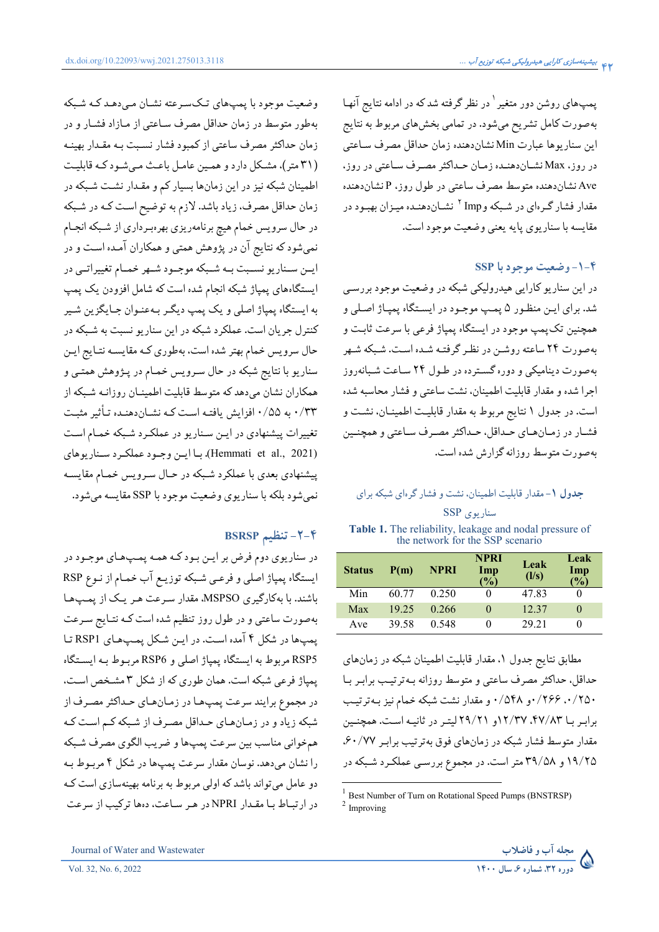وضعیت موجود با پمپهای تکسرعته نشان می دهـد کـه شـبکه

بهطور متوسط در زمان حداقل مصرف ساعتبي از مـازاد فشـار و در زمان حداکثر مصرف ساعتبی از کمبود فشار نسـبت بـه مقـدار بهینـه

(٣١ متر)، مشكل دارد و همين عامل باعث مي شود كـه قابليت

اطمینان شبکه نیز در این زمانها بسیار کم و مقدار نشت شبکه در

زمان حداقل مصرف، زیاد باشد. لازم به توضیح است کـه در شـبکه

در حال سرویس خمام هیچ برنامهریزی بهرهبرداری از شبکه انجـام

نمیشود که نتایج آن در پژوهش همتی و همکاران آمـده اسـت و در ايـن سـناريو نسـبت بـه شـبكه موجـود شـهر خمـام تغييراتـي در

ایستگاههای پمپاژ شبکه انجام شده است که شامل افزودن یک پمپ

به ايستگاه يمياژ اصلي و يک يمپ ديگـر بـهعنـوان جـايگزين شـير

کنترل جریان است. عملکرد شبکه در این سناریو نسبت به شـبکه در

حال سرويس خمام بهتر شده است، بهطوري كـه مقايسـه نتـايج ايـن

سناریو با نتایج شبکه در حال سرویس خمـام در پـژوهش همتـی و همکاران نشان میدهد که متوسط قابلیت اطمینـان روزانـه شـبکه از

۰/۳۳ به ۰/۵۵ افزایش یافتـه اسـت کـه نشـاندهنـده تـأثیر مثبـت

تغییرات پیشنهادی در ایـن سـناریو در عملکـرد شـبکه خمـام اسـت (Hemmati et al., 2021). با اين وجـود عملكـرد سـناريوهاي

پیشنهادی بعدی با عملکرد شبکه در حـال سـرویس خمـام مقایسـه نمې شود بلکه با سناريوي وضعيت موجود با SSP مقايسه مې شود.

در سناريوي دوم فرض بر ايـن بـود كـه همـه پمـپهـاي موجـود در ايستگاه پمپاژ اصلي و فرعـي شـبكه توزيـع آب خمـام از نـوع RSP باشند. با بهکارگیری MSPSO، مقدار سرعت هر یک از پمپها بهصورت ساعتی و در طول روز تنظیم شده است کـه نتـایج سـرعت پمپها در شکل ۴ آمده است. در اين شکل پمپهاي RSP1 تا RSP5 مربوط به ايستگاه پمپاژ اصلي و RSP6 مربوط بـه ايسـتگاه

پمپاژ فرعی شبکه است. همان طوری که از شکل ۳ مشخص است.

در مجموع برایند سرعت پمپها در زمانهای حـداکثر مصـرف از

شبکه زیاد و در زمـانهـای حـداقل مصـرف از شـبکه کـم اسـت کـه

همخواني مناسب بين سرعت پمپها و ضريب الگوي مصرف شبكه

را نشان مىدهد. نوسان مقدار سرعت پمپها در شكل ۴ مربـوط بـه دو عامل می تواند باشد که اولی مربوط به برنامه بهینهسازی است کـه

در ارتباط با مقدار NPRI در هر ساعت، دهها ترکیب از سرعت

۴-۲- تنظیم BSRSP

پمپهای روشن دور متغیر <sup>۱</sup> در نظر گرفته شدکه در ادامه نتایج آنهـا بهصورت کامل تشریح میشود. در تمامی بخشهای مربوط به نتایج این سناریوها عبارت Min نشاندهنده زمان حداقل مصرف سـاعتبي در روز، Max نشـاندهنـده زمـان حـداكثر مصـرف سـاعتى در روز، Ave نشاندهنده متوسط مصرف ساعتبي در طول روز، P نشاندهنده مقدار فشار گرهای در شبکه و <sup>۱</sup> Imp بشاندهنده میزان بهبود در مقايسه با سناريوي يايه يعني وضعيت موجود است.

### **SSP - وضعیت موجود یا SSP**

در این سناریو کارایی هیدرولیکی شبکه در وضعیت موجود بررسی شد. براي ايـن منظـور ۵ يمـپ موجـود در ايسـتگاه يميـاژ اصـلي و همچنین تکپمپ موجود در ایستگاه پمپاژ فرعی با سرعت ثابت و بهصورت ٢۴ ساعته روشـن در نظـر گرفتـه شـده اسـت. شـبكه شـهر بهصورت دینامیکی و دوره گسترده در طـول ۲۴ سـاعت شـبانهروز اجرا شده و مقدار قابلیت اطمینان، نشت ساعتی و فشار محاسبه شده است. در جدول ۱ نتایج مربوط به مقدار قابلیت اطمینـان، نشـت و فشـار در زمـانهـاي حـداقل، حـداكثر مصـرف سـاعتى و همچنـين بهصورت متوسط روزانه گزارش شده است.

# جدول ١- مقدار قابليت اطمينان، نشت و فشار گرهاي شبكه براي سناريوي SSP

Table 1. The reliability, leakage and nodal pressure of the network for the SSP scenario

| <b>Status</b> | P(m)  | NPRI  | <b>NPRI</b><br>Imp<br>$\frac{1}{2}$ | Leak<br>(1/s) | Leak<br>Imp<br>(%) |
|---------------|-------|-------|-------------------------------------|---------------|--------------------|
| Min           | 60.77 | 0.250 | 0                                   | 47.83         |                    |
| Max           | 19 25 | 0.266 | $\Omega$                            | 12.37         | $\theta$           |
| Ave           | 39.58 | 0.548 | 0                                   | 29 21         | 0                  |

مطابق نتایج جدول ۱، مقدار قابلیت اطمینان شبکه در زمانهای حداقل، حداکثر مصرف ساعتی و متوسط روزانه بـهترتيـب برابـر بـا ۰/۲۵۰ بر ۲۶۶/۰و ۵۴۸/۰و مقدار نشت شبکه خمام نیز بـهترتیـب برابر با ۴۷/۸۳، ۱۲/۳۷و ۲۹/۲۱ لیتر در ثانیه است. همچنین مقدار متوسط فشار شبکه در زمانهای فوق بهترتیب برابر ۶۰/۷۷. ۱۹/۲۵ و ۳۹/۵۸ متر است. در مجموع بررسـی عملکـرد شـبکه در



<sup>&</sup>lt;sup>1</sup> Best Number of Turn on Rotational Speed Pumps (BNSTRSP)  $2$  Improving

Journal of Water and Wastewater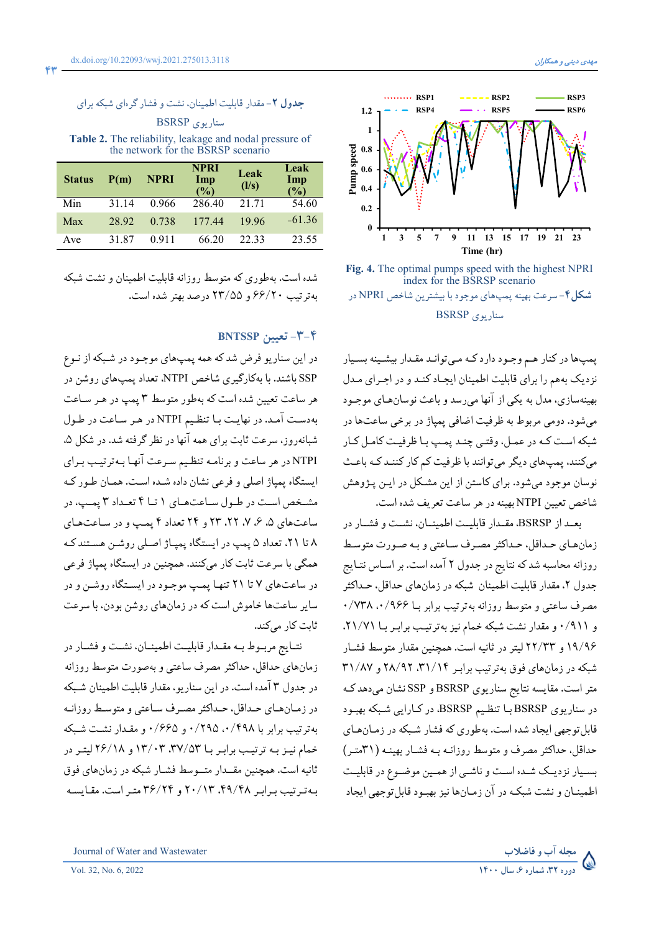

Fig. 4. The optimal pumps speed with the highest NPRI index for the BSRSP scenario **شکل۴**- سرعت بهینه پمپهای موجود با بیشترین شاخص NPRI در سناريوي BSRSP

پمپها در کنار هـم وجـود دارد کـه مـيتوانـد مقـدار بيشـينه بسـيار نزدیک بههم را برای قابلیت اطمینان ایجاد کنـد و در اجـرای مـدل بهینهسازی، مدل به یکی از آنها می رسد و باعث نوسانهای موجـود مي شود. دومي مربوط به ظرفيت اضافي يمياژ در برخي ساعتها در شبکه است کـه در عمـل، وقتـي چنـد يمـپ بـا ظرفيـت کامـل کـار می کنند، یمپهای دیگر می توانند با ظرفیت کم کار کننـد کـه باعـث نوسان موجود میشود. برای کاستن از این مشکل در ایـن پـژوهش شاخص تعیین NTPI بهینه در هر ساعت تعریف شده است.

بعـد از BSRSP، مقـدار قابليـت اطمينـان، نشـت و فشـار در زمانهای حداقل، حداکثر مصرف ساعتی و به صورت متوسط روزانه محاسبه شدكه نتايج در جدول ٢ آمده است. بر اسـاس نتـايج جدول ۲، مقدار قابلیت اطمینان شبکه در زمانهای حداقل، حـداکثر مصرف ساعتی و متوسط روزانه بهترتیب برابر بــا ۰/۷۳۸ .۰/۹۶۶ و ۰/۹۱۱ و مقدار نشت شبکه خمام نیز بهترتیب برابر با ۲۱/۷۱. ۱۹/۹۶ و ۲۲/۳۳ لیتر در ثانیه است. همچنین مقدار متوسط فشبار شبکه در زمانهای فوق به ترتیب برابر ۳۱/۱۴، ۲۸/۹۲ و ۳۱/۸۷ متر است. مقایسه نتایج سناریوی BSRSP و SSP نشان میدهد ک در سناریوی BSRSP بـا تنظـیم BSRSP، در کـارایی شـبکه بهبـود قابل توجهی ایجاد شده است. بهطوری که فشار شبکه در زمـانهـای حداقل، حداكثر مصرف و متوسط روزانـه بـه فشـار بهينـه (٣١متـر) بسـیار نزدیـک شـده اسـت و ناشـی از همـین موضـوع در قابلیـت اطمينـان و نشت شبكـه در آن زمـانها نيز بهبـود قابل توجهي ايجاد

Table 2. The reliability, leakage and nodal pressure of the network for the BSRSP scenario

جدول ۲- مقدار قابلیت اطمینان، نشت و فشار گرهای شبکه برای

| <b>Status</b> | P(m)  | NPRI    | <b>NPRI</b><br>Imp<br>$($ %) | Leak<br>(1/s) | Leak<br>Imp<br>(%) |
|---------------|-------|---------|------------------------------|---------------|--------------------|
| Min           | 31.14 | 0.966   | 286.40                       | 21.71         | 54.60              |
| Max           | 28.92 | 0.738   | 177.44                       | 19.96         | $-61.36$           |
| Ave           | 31.87 | 0 9 1 1 | 66.20                        | 22.33         | 23.55              |

شده است. بهطوری که متوسط روزانه قابلیت اطمینان و نشت شبکه به ترتیب ۶۶/۲۰ و ۲۳/۵۵ درصد بهتر شده است.

### $BNTSSP$  تعبين  $-\mathsf{f}'-\mathsf{f}'$

در این سناریو فرض شد که همه پمپهای موجـود در شـبکه از نـوع SSP باشند. با بهکارگیری شاخص NTPI، تعداد پمپهای روشن در هر ساعت تعیین شده است که بهطور متوسط ۳ پمپ در هـر سـاعت به دست آمد. در نهایت با تنظیم NTPI در هر ساعت در طول شبانهروز، سرعت ثابت براي همه آنها در نظر گرفته شد. در شكل ۵، NTPI در هر ساعت و برنامه تنظیم سرعت آنها بـهترتیـب بـرای ايستگاه پمپاژ اصلي و فرعي نشان داده شـده اسـت. همـان طـور كـه مشخص است در طـول سـاعتهـای ۱ تـا ۴ تعـداد ۳ بمـب، در ساعتهای ۵، ۶، ۷، ۲۲، ۲۳ و ۲۴ تعداد ۴ پمپ و در ساعتهای ۸ تا ۲۱، تعداد ۵ يمپ در ايستگاه يميـاژ اصـلي روشـن هسـتند كـه همگی با سرعت ثابت کار میکنند. همچنین در ایستگاه یمیاژ فرعی در ساعتهای ۷ تا ۲۱ تنها یمپ موجـود در ایسـتگاه روشـن و در سایر ساعتها خاموش است که در زمانهای روشن بودن، با سرعت ثابت کار می کند.

نتـايج مربـوط بـه مقـدار قابليـت اطمينـان، نشـت و فشـار در زمانهای حداقل، حداکثر مصرف ساعتی و بهصورت متوسط روزانه در جدول ۳ آمده است. در این سناریو، مقدار قابلیت اطمینان شبکه در زمـانهـای حـداقل، حـداکثر مصـرف سـاعتی و متوسـط روزانـه به ترتیب برابر با ۰/۲۹۸ ۰/۴۹۸ و ۰/۶۶۵ و مقدار نشت شبکه خمام نیز به ترتیب برابر با ۰۳٪ ۲۷/۵۳ و ۲۶/۱۸ لیتر در ثانیه است. همچنین مقــدار متــوسط فشـار شبکه در زمانهای فوق به ترتیب برابر ۴۹/۴۸، ۲۰/۱۳ و ۳۶/۲۴ متر است. مقایسه

سناريوي BSRSP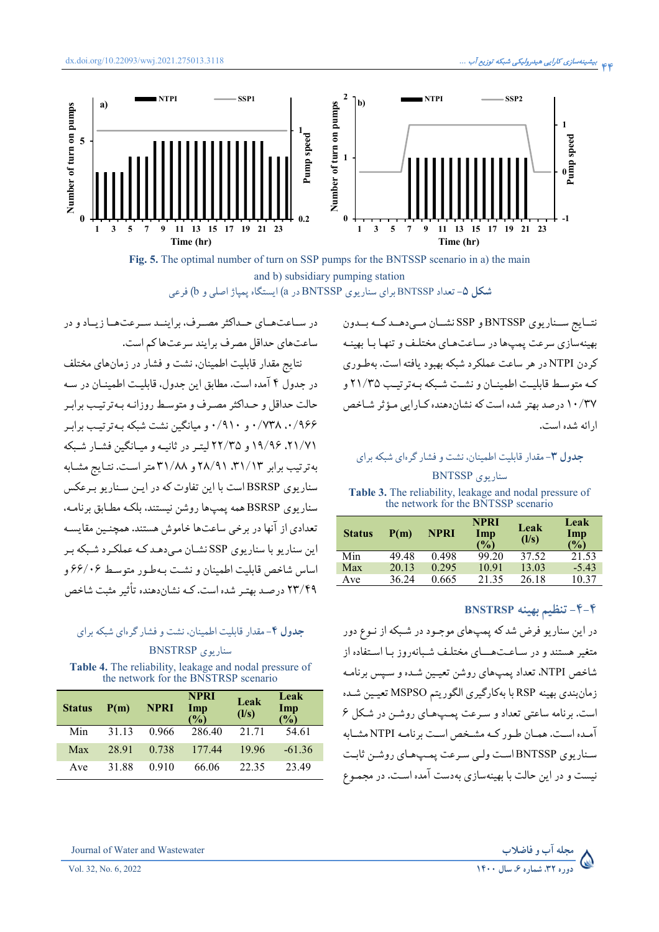

Fig. 5. The optimal number of turn on SSP pumps for the BNTSSP scenario in a) the main and b) subsidiary pumping station **شکل ۵- تعداد BNTSSP برای سنار بوی BNTSSP در a) ایستگاه بمیاژ اصلی و b) فر**عی

در سیاعت هیای حیداکثر مصیرف، براینید سیرعت هیا زیباد و در ساعتهای حداقل مصرف برایند سرعتها کم است.

نتايج مقدار قابليت اطمينان، نشت و فشار در زمانهاى مختلف در جدول ۴ آمده است. مطابق این جدول، قابلیت اطمینـان در سـه حالت حداقل و حـداكثر مصـرف و متوسـط روزانـه بـهترتيـب برابـر ۰/۹۶۶ م. ۰/۷۳۸ و ۰/۹۱۰ و میانگین نشت شبکه بـه تر تیـب برابـر ۲۱/۷۱، ۱۹/۹۶ و ۲۲/۳۵ لیته در ثانیـه و میـانگین فشـار شـبکه به ترتیب برابر ۳۱/۱۳، ۲۸/۹۱ و ۳۱/۸۸ متر است. نتـایج مشـابه سناریوی BSRSP است با این تفاوت که در ایـن سـناریو بـرعکس سناریوی BSRSP همه یمپها روشن نیستند، بلکـه مطـابق برنامـه. تعدادي از آنها در برخي ساعتها خاموش هستند. همچنـين مقايسـه این سناریو با سناریوی SSP نشـان مـی،دهـد کـه عملکـرد شـبکه بـر اساس شاخص قابلت اطمينان و نشت په طـور متوسـط ۶۶/۰۶ و ۲۳/۴۹ درصـد بهتـر شده است. کـه نشاندهنده تأثیر مثبت شاخص

### حدول ۴- مقدار قابلت اطمینان، نشت و فشار گردای شبکه برای

سنار يوي BNSTRSP Table 4. The reliability, leakage and nodal pressure of<br>the network for the BNSTRSP scenario

| <b>Status</b> | P(m)  | NPRI  | <b>NPRI</b><br>Imp<br>(%) | Leak<br>(1/s) | Leak<br>Imp<br>$\binom{0}{0}$ |
|---------------|-------|-------|---------------------------|---------------|-------------------------------|
| Min           | 31 13 | 0.966 | 286.40                    | 21.71         | 54.61                         |
| Max           | 28.91 | 0.738 | 17744                     | 1996          | $-61.36$                      |
| Ave           | 31.88 | 0.910 | 66.06                     | 22.35         | 23.49                         |

نتــايج ســناريوي BNTSSP و SSP نشــان مــى،دهــد كــه بــدون بهینهسازی سرعت یمپها در ساعتهای مختلف و تنها با بهینـه کردن NTPI در هر ساعت عملکرد شبکه بهبود بافته است. بهطـوری کـه متوسـط قابلــت اطمينــان و نشــت شــکه بـه تر تيــب ٢١/٣٥ و ۱۰/۳۷ درصد بهتر شده است که نشاندهنده کـارایی مـؤثر شـاخص ارائه شده است.

### حدول ۳- مقدار قابلیت اطمینان، نشت و فشار گردای شبکه برای

#### سناریوی BNTSSP

Table 3. The reliability, leakage and nodal pressure of the network for the BNTSSP scenario

| <b>Status</b> | P(m)  | <b>NPRI</b> | <b>NPRI</b><br>Imp<br>(%) | Leak<br>(1/s) | Leak<br>Imp<br>$\frac{10}{6}$ |
|---------------|-------|-------------|---------------------------|---------------|-------------------------------|
| Min           | 49.48 | 0.498       | 99.20                     | 37.52         | 21.53                         |
| Max           | 20.13 | 0.295       | 10.91                     | 13.03         | $-5.43$                       |
| Ave           | 36.24 | 0.665       | 21.35                     | 26.18         | 10.37                         |

### ۴–۴– تنظیم بهینه BNSTRSP

مجله آب و فاضلاب<br>۱۴۰۰ میله ه ع سال ۱۴۰۰

در این سناریو فرض شد که پمپهای موجـود در شـبکه از نـوع دور متغیر هستند و در ساعت هــای مختلـف شـیانه, وز بـا اسـتفاده از شاخص NTPI، تعداد یمپهای روشن تعبین شیده و سپس برنامه زمانبندي بهينه RSP با بهكارگيري الگوريتم MSPSO تعيين شـده است. برنامه ساعتی تعداد و سرعت یمپ های روشـن در شکل ۶ آمـده اسـت. همـان طـور كـه مشـخص اسـت برنامـه NTPI مشـابه سناریوی BNTSSP است ولیے سرعت یمپ های روشن ثابت نیست و در این حالت با بهینهسازی بهدست آمده است. در مجموع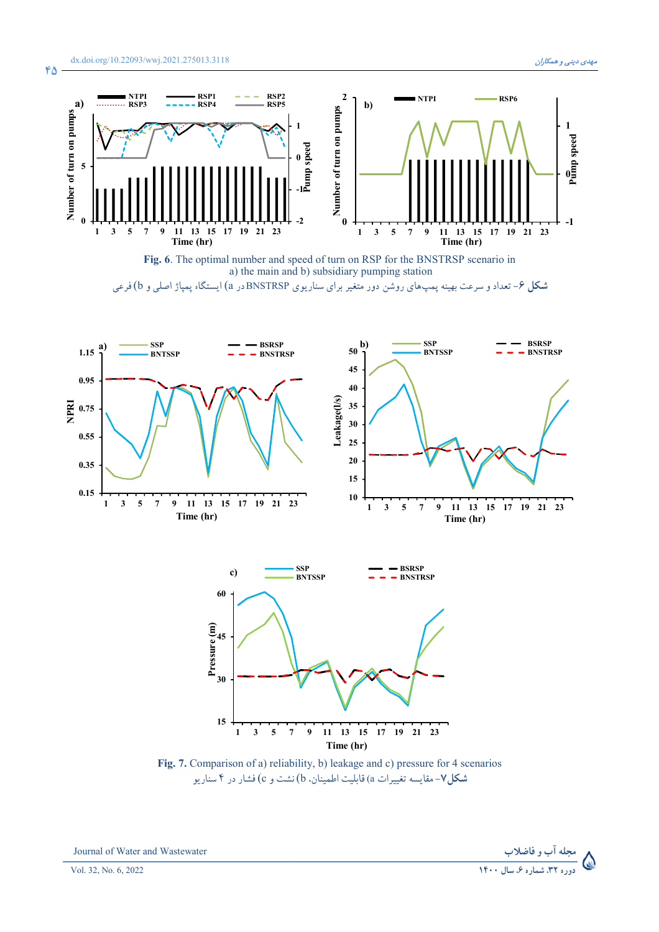**45**



**Fig. 6**. The optimal number and speed of turn on RSP for the BNSTRSP scenario in a) the main and b) subsidiary pumping station **شکل ۶**– تعداد و سرعت بهینه پمپ،ای روشن دور متغیر برای سناریوی BNSTRSPدر a) ایستگاه پمپاژ اصلی و b) فرعی



**Time (hr)**

**Fig. 7.** Comparison of a) reliability, b) leakage and c) pressure for 4 scenarios **شکل۷**- مقایسه تغییرات a) قابلیت اطمینان. b) نشت و c) فشار در ۴ سناریو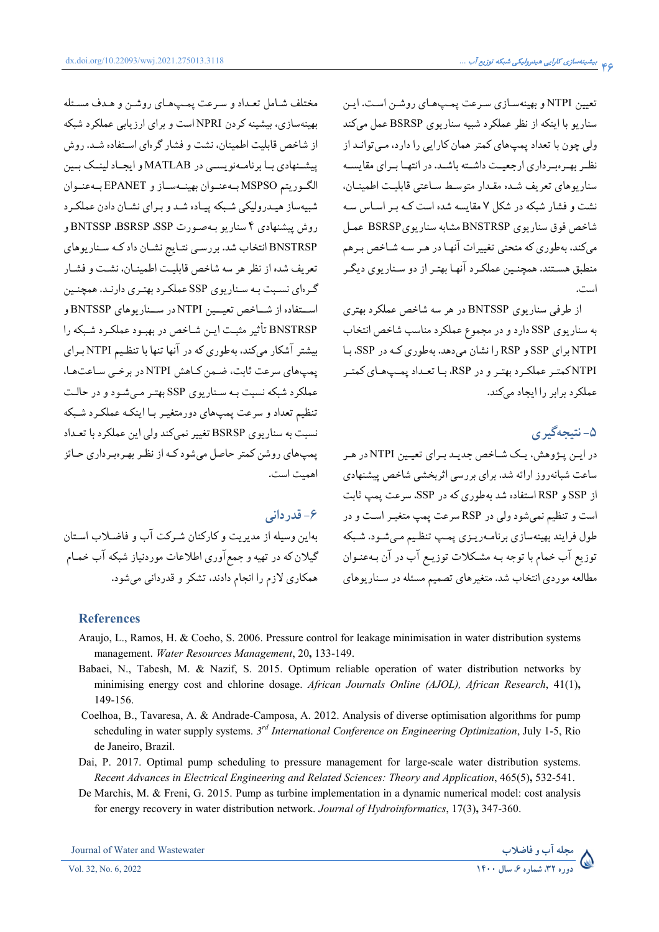dx.doi.org/10.22093/wwj.2021.275013.3118

تعیین NTPI و بهینهسازی سرعت پمپهای روشن است. این سناریو با اینکه از نظر عملکرد شبیه سناریوی BSRSP عمل میکند ولی چون با تعداد یمپهای کمتر همان کارایی را دارد، مبی توانـد از نظیر بهیروسرداری از حعیت داشته باشید. در انتهیا سرای مقایسیه سناريوهاي تعريف شـده مقـدار متوسـط سـاعتى قابليـت اطمينـان، نشت و فشار شبکه در شکل ۷ مقایسه شده است کـه بـر اسـاس سـه شاخص فوق سناريوي BNSTRSP مشابه سناريوي BSRSP عمل میکند، بهطوری که منحنی تغییرات آنهـا در هـر سـه شـاخص بـرهم منطبق هسـتند. همچنـین عملکـرد آنهـا بهتـر از دو سـناریوي دیگـر است.

از طرفی سناریوی BNTSSP در هر سه شاخص عملکرد بهتری به سناریوی SSP دارد و در مجموع عملکرد مناسب شاخص انتخاب NTPI برای SSP و RSP را نشان می دهد. بهطوری کـه در SSP، بـا NTPIکمتر عملکرد بهتر و در RSP، بـا تعـداد يمـپهـاي کمتـر عملکر د برابر را ایجاد میکند.

# ۵- نتيجهگيري

در این پژوهش، یک شاخص جدید برای تعیین NTPI در هر ساعت شبانهروز ارائه شد. برای بررسی اثربخشی شاخص پیشنهادی از SSP و RSP استفاده شد بهطوري كه در SSP، سرعت يمپ ثابت است و تنظیم نمی شود ولی در RSP سرعت یمپ متغیـر اسـت و در طول فرایند بهینهسازی برنامـهریـزی پمـپ تنظـیم مـیشـود. شـبکه توزيع آب خمام با توجه بـه مشكلات توزيـع آب در آن بـهعنـوان مطالعه موردي انتخاب شد. متغيرهاي تصميم مسئله در سناريوهاي

مختلف شامل تعداد و سرعت پمپهاي روشن و هدف مسئله بهینهسازی، بیشینه کردن NPRI است و برای ارزیابی عملکرد شبکه از شاخص قابلیت اطمینان، نشت و فشار گرهای استفاده شـد. روش پیشنهادی بـا برنامـهنویسـی در MATLAB و ایجـاد لینـک بـین الكوريتم MSPSO بماعنوان بهينماساز و EPANET بماعنوان شبیهساز هیدرولیکی شبکه پیاده شد و برای نشان دادن عملکرد روش پیشنهادی ۴ سناریو بهصورت BNTSSP ،BSRSP ،SSP و BNSTRSP انتخاب شد. بررسی نتـایج نشـان داد کـه سـناریوهای تعريف شده از نظر هر سه شاخص قابليت اطمينـان، نشـت و فشـار گـرهای نسـبت بـه سـناریوی SSP عملکـرد بهتـری دارنـد. همچنـین استفاده از شباخص تعب, NTPI در سبنار بوهای BNTSSP و BNSTRSP تأثير مثبت اين شاخص در بهبود عملكرد شبكه را بیشتر آشکار میکند، بهطوری که در آنها تنها با تنظیم NTPI برای یمپ های سرعت ثابت، ضمن کاهش NTPI در برخبی ساعت ها، عملکرد شبکه نسبت بـه سـناريوي SSP بهتـر مـي شـود و در حالـت تنظیم تعداد و سرعت یمیهای دورمتغیـر بـا اینکـه عملکـر د شــکه نسبت به سناريوي BSRSP تغيير نميكند ولي اين عملكرد با تعـداد یمپهای روشن کمتر حاصل میشود کـه از نظـر بهـرهبرداری حـائز اهميت است.

### ۶- قدر دانی

بهاین وسیله از مدیریت و کارکنان شـرکت آب و فاضـلاب اسـتان گیلان که در تهیه و جمع آوری اطلاعات موردنیاز شبکه آب خمـام همکاری لازم را انجام دادند، تشکر و قدردانی میشود.

### **References**

- Araujo, L., Ramos, H. & Coeho, S. 2006. Pressure control for leakage minimisation in water distribution systems management. Water Resources Management, 20, 133-149.
- Babaei, N., Tabesh, M. & Nazif, S. 2015. Optimum reliable operation of water distribution networks by minimising energy cost and chlorine dosage. African Journals Online (AJOL), African Research, 41(1), 149-156.
- Coelhoa, B., Tavaresa, A. & Andrade-Camposa, A. 2012. Analysis of diverse optimisation algorithms for pump scheduling in water supply systems.  $3^{rd}$  International Conference on Engineering Optimization, July 1-5, Rio de Janeiro, Brazil.
- Dai, P. 2017. Optimal pump scheduling to pressure management for large-scale water distribution systems. Recent Advances in Electrical Engineering and Related Sciences: Theory and Application, 465(5), 532-541.
- De Marchis, M. & Freni, G. 2015. Pump as turbine implementation in a dynamic numerical model: cost analysis for energy recovery in water distribution network. Journal of Hydroinformatics, 17(3), 347-360.